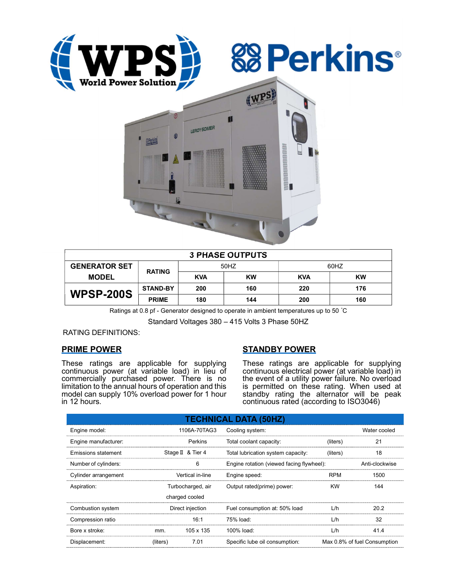





| <b>3 PHASE OUTPUTS</b> |                 |            |           |            |           |  |  |  |
|------------------------|-----------------|------------|-----------|------------|-----------|--|--|--|
| <b>GENERATOR SET</b>   | <b>RATING</b>   | 50HZ       |           | 60HZ       |           |  |  |  |
| <b>MODEL</b>           |                 | <b>KVA</b> | <b>KW</b> | <b>KVA</b> | <b>KW</b> |  |  |  |
| <b>WPSP-200S</b>       | <b>STAND-BY</b> | 200        | 160       | 220        | 176       |  |  |  |
|                        | <b>PRIME</b>    | 180        | 144       | 200        | 160       |  |  |  |

Ratings at 0.8 pf - Generator designed to operate in ambient temperatures up to 50 °C

Standard Voltages 380 – 415 Volts 3 Phase 50HZ

RATING DEFINITIONS:

# PRIME POWER

These ratings are applicable for supplying continuous power (at variable load) in lieu of commercially purchased power. There is no limitation to the annual hours of operation and this model can supply 10% overload power for 1 hour in 12 hours.

# STANDBY POWER

These ratings are applicable for supplying continuous electrical power (at variable load) in the event of a utility power failure. No overload is permitted on these rating. When used at standby rating the alternator will be peak continuous rated (according to ISO3046)

| <b>TECHNICAL DATA (50HZ)</b> |                   |                   |                                           |                              |                |  |  |  |  |  |
|------------------------------|-------------------|-------------------|-------------------------------------------|------------------------------|----------------|--|--|--|--|--|
| Engine model:                |                   | 1106A-70TAG3      | Cooling system:                           |                              | Water cooled   |  |  |  |  |  |
| Engine manufacturer:         |                   | Perkins           | Total coolant capacity:                   | (liters)                     | 21             |  |  |  |  |  |
| Emissions statement          |                   | Stage II & Tier 4 | Total lubrication system capacity:        | (liters)                     | 18             |  |  |  |  |  |
| Number of cylinders:         |                   | 6                 | Engine rotation (viewed facing flywheel): |                              | Anti-clockwise |  |  |  |  |  |
| Cylinder arrangement         | Vertical in-line  |                   | Engine speed:                             | <b>RPM</b>                   | 1500           |  |  |  |  |  |
| Aspiration:                  | Turbocharged, air |                   | Output rated(prime) power:                | <b>KW</b>                    | 144            |  |  |  |  |  |
|                              |                   | charged cooled    |                                           |                              |                |  |  |  |  |  |
| Combustion system            | Direct injection  |                   | Fuel consumption at: 50% load             | L/h                          | 20.2           |  |  |  |  |  |
| Compression ratio            |                   | 16:1              | 75% load:                                 | L/h                          | 32             |  |  |  |  |  |
| Bore x stroke:               | mm.               | 105 x 135         | 100% load:                                | L/h                          | 41.4           |  |  |  |  |  |
| Displacement:                | (liters)          | 7.01              | Specific lube oil consumption:            | Max 0.8% of fuel Consumption |                |  |  |  |  |  |